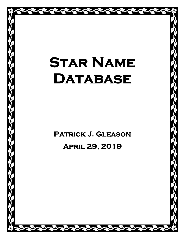# **STAR NAME DATABASE**

**Patrick J. Gleason** 

C. C. C.

# **April 29, 2019**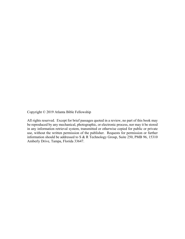Copyright © 2019 Atlanta Bible Fellowship

All rights reserved. Except for brief passages quoted in a review, no part of this book may be reproduced by any mechanical, photographic, or electronic process, nor may it be stored in any information retrieval system, transmitted or otherwise copied for public or private use, without the written permission of the publisher. Requests for permission or further information should be addressed to S & R Technology Group, Suite 250, PMB 96, 15310 Amberly Drive, Tampa, Florida 33647.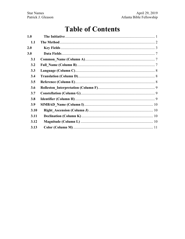## **Table of Contents**

| 1.0        |  |
|------------|--|
| 1.1        |  |
| 2.0        |  |
| 3.0        |  |
| 3.1        |  |
| 3.2        |  |
| 3.3        |  |
| 3.4        |  |
| 3.5        |  |
| <b>3.6</b> |  |
| 3.7        |  |
| 3.8        |  |
| 3.9        |  |
| 3.10       |  |
| 3.11       |  |
| 3.12       |  |
| 3.13       |  |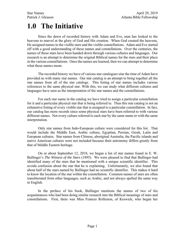# **1.0 The Initiative**

Since the dawn of recorded history with Adam and Eve, man has looked to the heavens to marvel at the glory of God and His creation. When God created the heavens, He assigned names to the visible stars and the visible constellations. Adam and Eve started off with a good understanding of these names and constellations. Over the centuries, the names of those stars have been handed down through various cultures and languages. Our research is an attempt to determine the original Biblical names for the stars and their place in the various constellations. Once the names are learned, then we can attempt to determine what these names mean.

The recorded history we have of various star catalogues sine the time of Adam have provided us with many star names. Our star catalog is an attempt to bring together all the star names from all of the star catalogs. This listing of star names includes various references to the same physical star. With this, we can study what different cultures and languages have seen as the interpretation of the star names and the constellations.

For each star name in the catalog we have tried to assign a particular constellation for it and a particular physical star that is being referred to. Thus this star catalog is not an exhaustive listing of every visible star that is assigned to a particular constellation. In fact, our catalog has more records since some physical stars have been referred to with various different names. Not every culture referred to each star by the same name or with the same interpretation.

Only star names from Indo-European culture were considered for this list. That would include the Middle East, Arabic culture, Egyptian, Persian, Greek, Latin and European cultures. Star names from Chinese, aboriginal Australia, the Pacific islands and native American cultures were not included because their astronomy differs greatly from that of Middle Eastern heritage.

On or about September 12, 2018, we began a list of star names found in E. W. Bullinger's *The Witness of the Stars* (1895). We were pleased to find that Bullinger had identified many of the stars that he mentioned with a unique scientific identifier. This avoids confusion about the star that he is explaining. Unfortunately, we also found that about half of the stars named by Bullinger had no scientific identifier. This makes it hard to know the location of the star within the constellation. Common names of stars are often transliterated from other languages, such as Arabic, and not always spelled the same way in English.

In the preface of his book, Bullinger mentions the names of two of his acquaintances who had been doing similar research into the Biblical meanings of stars and constellations. First, there was Miss Frances Rolleston, of Keswick, who began her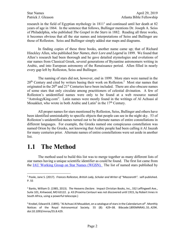research in the field of Egyptian mythology in  $1811<sup>1</sup>$  and continued until her death at 82 years of age in 1864. In the sentence that follows, Bullinger mentions Dr. Joseph A. Seiss of Philadelphia, who published *The Gospel in the Stars* in 1882. Reading all three works, it becomes obvious that all the star names and interpretations of Seiss and Bullinger are those of Rolleston. Seiss and Bullinger simply added star maps and diagrams.

In finding copies of these three books, another name came up; that of Richard Hinckley Allen, who published *Star Names, their Lore and Legend* in 1899. We found that Allen's research had been thorough and he gave detailed etymologies and evolutions of star names from Classical Greek, several generations of Byzantine astronomers writing in Arabic, and into European astronomy of the Renaissance period. Allen filled in nearly every gap left by Rolleston, Seiss and Bullinger.

The naming of stars did not, however, end in 1899. More stars were named in the  $20<sup>th</sup>$  Century and cited by writers basing their work on Rolleston.<sup>2</sup> Most star names that originated in the  $20<sup>th</sup>$  and  $21<sup>st</sup>$  Centuries have been included. There are also obscure names of some stars that only circulate among practitioners of celestial divination. A few of Rolleston's unidentified names were only to be found at a web resource named "AstrologyKing.com". Latin names were mostly found in the writings of Al Achsasi al Mouakket, who wrote in both Arabic and Latin<sup>3</sup> in the  $17<sup>th</sup>$  Century.

All proper names for stars mentioned by Rolleston, Seiss, Bullinger and others have been identified unmistakably to specific objects that people can see in the night sky. 53 of Rolleston's unidentified names turned out to be alternate names of entire constellations in different languages. For example, the Greeks named one conspicuous constellation was named Orion by the Greeks, not knowing that Arabic people had been calling it Al Jauzah for many centuries prior. Alternate names of entire constellations were set aside in another list.

#### **1.1 The Method**

The method used to build this list was to merge together as many different lists of star names having a unique scientific identifier as could be found. The first list came from the IAU Working Group on Star Names (WGSN). The list of named stars published by

 $\overline{a}$ <sup>1</sup> Poole, Jane S. (2017). Frances Rolleston, British Lady, Scholar and Writer of "Mazzaroth". self-published. P. 55

<sup>2</sup> Banks, William D. (1985, 2013). *The Heavens Declare*. Impact Christian Books, Inc., 332 Leffingwell Ave., Suite 101, Kirkwood, MO 63122. p. 43 (Proxima Centauri was not discovered until 1915, by Robert Innes in South Africa, using a powerful telescope.)

<sup>&</sup>lt;sup>3</sup> Knobel, Edward B. (1895). "Al Achsasi Al Mouakket, on a catalogue of stars in the Calendarium of". Monthly Notices of the Royal Astronomical Society. 55 (8): 429–38. Bibcode:1895MNRAS..55..429K. doi:10.1093/mnras/55.8.429.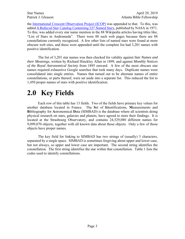the International Crescent Observation Project (ICOP) was appended to that. To this, was added *A Reduced Star Catalog Containing 537 Named Stars*, published by NASA in 1971. To this, was added every star name mention in the 88 Wikipedia articles having titles like, "List of Stars in Andromeda". There were 88 such web pages because there are 88 constellations currently recognized. A few other lists of named stars were found at more obscure web sites, and these were appended until the complete list had 3,201 names with positive identification.

The list of 3,201 star names was then checked for validity against *Star Names and their Meanings*, written by Richard Hinckley Allen in 1899, and against *Monthly Notices of the Royal Astronomical Society* from 1895 onward. A few of the most obscure star names required exhaustive Google searches that took many days. Duplicate names were consolidated into single entries. Names that turned out to be alternate names of entire constellations, or parts thereof, were set aside into a separate list. This reduced the list to 1,450 proper names of stars with positive identification.

# **2.0 Key Fields**

Each row of this table has 13 fields. Two of the fields have primary key values for another database located in France. The **S**et of **I**dentifications, **M**easurements and **B**ibliography for **A**stronomical **D**ata (SIMBAD) is the database where all scientists doing physical research on stars, galaxies and planets, have agreed to store their findings. It is located at the Strasbourg Observatory, and contains 24,529,080 different names for 9,099,070 objects, together with all known data about those objects. Only a few of those objects have proper names.

The key field for linking to SIMBAD has two strings of (usually) 3 characters, separated by a single space. SIMBAD is sometimes forgiving about upper and lower case, but not always, so upper and lower case are important. The second string identifies the constellation. The first string identifies the star within that constellation. Table 1 lists the codes used to identify constellations.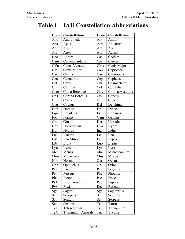#### **Table 1 – IAU Constellation Abbreviations**

| Code | Constellation       | Code | <b>Constellation</b> |  |
|------|---------------------|------|----------------------|--|
| And  | Andromeda           | Ant  | Antlia               |  |
| Aps  | Apus                | Aqr  | Aquarius             |  |
| Aql  | Aquila              | Ara  | Ara                  |  |
| Ari  | Aries               | Aur  | Auriga               |  |
| Boo  | <b>Boötes</b>       | Cae  | Caelum               |  |
| Cam  | Camelopardalis      | Cnc  | Cancer               |  |
| CVn  | Canes Venatici      | CMa  | Canis Major          |  |
| CMi  | Canis Minor         | Cap  | Capricorn            |  |
| Car  | Carina              | Cas  | Cassiopeia           |  |
| Cen  | Centaurus           | Cep  | Cepheus              |  |
| Cet  | Cetus               | Cha  | Chamaeleon           |  |
| Cir  | Circinus            | Col  | Columba              |  |
| Com  | Coma Berenices      | CrA  | Corona Australis     |  |
| CrB  | Corona Borealis     | Crv  | Corvus               |  |
| Crt  | Crater              | Cru  | Crux                 |  |
| Cyg  | Cygnus              | Del  | Delphinus            |  |
| Dor  | Dorado              | Dra  | Draco                |  |
| Equ  | Equuleus            | Eri  | Eridanus             |  |
| For  | Fornax              | Gem  | Gemini               |  |
| Gru  | Grus                | Her  | Hercules             |  |
| Hor  | Horologium          | Hya  | Hydra                |  |
| Hyi  | Hydrus              | Ind  | Indus                |  |
| Lac  | Lacerta             | Leo  | Leo                  |  |
| LMi  | Leo Minor           | Lep  | Lepus                |  |
| Lib  | Libra               | Lup  | Lupus                |  |
| Lyn  | Lynx                | Lyr  | Lyra                 |  |
| Men  | Mensa               | Mic  | Microscopium         |  |
| Mon  | Monoceros           | Mus  | Musca                |  |
| Nor  | Norma               | Oct  | Octans               |  |
| Oph  | Ophiuchus           | Ori  | Orion                |  |
| Pav  | Pavo                | Peg  | Pegasus              |  |
| Per  | Perseus             | Phe  | Phoenix              |  |
| Pic  | Pictor              | Psc  | Pisces               |  |
| PsA  | Piscis Austrinus    | Pup  | Puppis               |  |
| Pyx  | Pyxis               | Ret  | Reticulum            |  |
| Sge  | Sagitta             | Sgr  | Sagittarius          |  |
| Sco  | Scorpius            | Scl  | Sculptor             |  |
| Sct  | Scutum              | Ser  | Serpens              |  |
| Sex  | Sextans             | Tau  | Taurus               |  |
| Tel  | Telescopium         | Tri  | Triangulum           |  |
| TrA  | Triangulum Australe | Tuc  | Tucana               |  |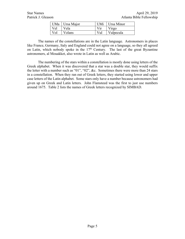|     | UMa   Ursa Major |     | UMi   Ursa Minor                  |
|-----|------------------|-----|-----------------------------------|
| Vel | Vela             | Vir | $\overline{\operatorname{Virgo}}$ |
|     | Vol Volans       |     | Vul Vulpecula                     |

The names of the constellations are in the Latin language. Astronomers in places like France, Germany, Italy and England could not agree on a language, so they all agreed on Latin, which nobody spoke in the  $17<sup>th</sup>$  Century. The last of the great Byzantine astronomers, al Mouakket, also wrote in Latin as well as Arabic.

The numbering of the stars within a constellation is mostly done using letters of the Greek alphabet. When it was discovered that a star was a double star, they would suffix the letter with a number such as "01", "02", &c. Sometimes there were more than 24 stars in a constellation. When they ran out of Greek letters, they started using lower and upper case letters of the Latin alphabet. Some stars only have a number because astronomers had given up on Greek and Latin letters. John Flamsteed was the first to just use numbers around 1675. Table 2 lists the names of Greek letters recognized by SIMBAD.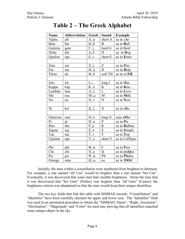| <b>Name</b>    | <b>Abbreviation</b> | <b>Greek</b>          | Sound                         | <b>Example</b> |
|----------------|---------------------|-----------------------|-------------------------------|----------------|
| Alpha          | alf                 | $A, \alpha$           | short A                       | as in cAt      |
| Beta           | bet                 | $B, \beta$            | B                             | as in Bull     |
| Gamma          | gam                 | $\Gamma, \gamma$      | hard G                        | as in God      |
| Delta          | del                 | $\Delta$ , $\delta$   | D                             | as in Dog      |
| Epsilon        | eps                 | $E, \varepsilon$      | short E                       | as in Enter    |
|                |                     |                       |                               |                |
| Zeta           | zet                 | $Z, \zeta$            | $\ensuremath{\textnormal{Z}}$ | as in Zoo      |
| Eta            | eta                 | $H, \eta$             | H                             | as in Help     |
| Theta          | tet                 | $\Theta$ , $\theta$   | soft TH                       | as in wiTH     |
|                |                     |                       |                               |                |
| Iota           | $\overline{i}$      | I, i                  | long I                        | as in fIne     |
| Kappa          | kap                 | $K, \kappa$           | $\bf K$                       | as in Kiss     |
| Lambda         | lam                 | $\Lambda$ , $\lambda$ | $\mathbf L$                   | as in Love     |
| Mu             | mu                  | $M, \mu$              | $\mathbf M$                   | as in Milk     |
| Nu             | nu                  | N, v                  | $\overline{N}$                | as in Now      |
|                |                     |                       |                               |                |
| Xi             | ksi                 | $E, \xi$              | $\mathbf X$                   | as in aXe      |
|                |                     |                       |                               |                |
| Omicron        | omi                 | O, o                  | long O                        | asin slOw      |
| P <sub>1</sub> | $\bar{pi}$          | $\Pi, \pi$            | ${\bf P}$                     | as in Pie      |
| Rho            | rho                 | $P, \rho$             | $\mathbf R$                   | as in Rubber   |
| Sigma          | sig                 | Σ, σ                  | ${\bf S}$                     | as in Simple   |
| Tau            | tau                 | $T, \tau$             | $\overline{T}$                | as in Top      |
| Upsilon        | ups                 | Υ, υ                  | short Y                       | as in CalYpso  |
|                |                     |                       |                               |                |
| Phi            | phi                 | $\Phi$ , $\varphi$    | $\mathbf F$                   | as in Free     |
| Chi            | chi                 | $X, \chi$             | Q                             | as in plaQue   |
| Psi            | psi                 | $\Psi$ , $\Psi$       | <b>PS</b>                     | as in PSalm    |
| Omega          | ome                 | $\Omega$ , $\omega$   | 00                            | as in fOOd     |

#### **Table 2 – The Greek Alphabet**

Initially, the stars within a constellation were numbered from brightest to dimmest. For example, a star named "alf Cen" would be brighter than a star named "bet Cen". Eventually, it was discovered that some stars had variable brightness. About the time that it was discovered that "bet Gem" (Pollux) was brighter than "alf Gem" (Castor), the brightness criteria was abandoned so that the stars would keep their unique identifiers.

The two key fields that link this table with SIMBAD records, "Constellation" and "Identifier" have been carefully checked for upper and lower case. The "Identifier" field was used in an automated procedure to obtain the "SIMBAD\_Name", "Right\_Ascension", "Declination", "Magnitude" and "Color" for each star, proving that all identifiers matched some unique object in the sky.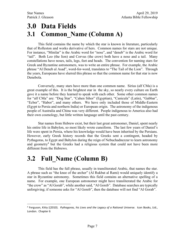#### **3.0 Data Fields 3.1 Common\_Name (Column A)**

This field contains the name by which the star is known in literature, particularly that of Rolleston and works derivative of hers. Common names for stars are not unique. For instance, "Minilar" is the Arabic word for "nose", and "deneb" is the Arabic word for "tail". Both Leo (the lion) and Corvus (the crow) both have a nose and a tail. Many constellations have noses, tails, legs, feet and heads. The convention for naming stars for Greek and Byzantine astronomers, was to write an entire phrase. For example, the Arabic phrase "Al Deneb al Asad", word-for-word, translates to "The Tail of the Lion". Through the years, Europeans have slurred this phrase so that the common name for that star is now Denebola.

Conversely, many stars have more than one common name. Sirius (alf CMa) is a great example of this. It is the brightest star in the sky, so nearly every culture on Earth gave it a name before they learned to speak with each other. Some other common names for "alf CMa" are: "Dog Star", "Cahen Sihor" (Egyptian), "Canicula" (Latin), "Gabbar", "Ecber", "Habor", and many others. We have only included those of Middle-Eastern (Egypt to Persia and northern India) or European origin. The astronomy of the indigenous people of Australia and China was very different. People indigenous to America also had their own cosmology, but little written language until the past century.

Star names from Hebrew exist, but their last great astronomer, Daniel, spent nearly his entire life in Babylon, so most likely wrote cuneiform. The last few years of Daniel's life were spent in Persia, where his knowledge would have been inherited by the Persians. However, early Greek history records that the Greeks sent a contingent, headed by Pythagoras, to Egypt and Babylon during the reign of Nebuchadnezzar to learn astronomy and geometry<sup>4</sup> but the Greeks had a religious system that could not have been more different from the Hebrews.

#### **3.2 Full\_Name (Column B)**

 $\overline{a}$ 

This field has the full phrase, usually in transliterated Arabic, that names the star. A phrase such as "the knee of the archer" (Al Rukbat al Rami) would uniquely identify a star in Byzantine astronomy. Sometimes this field contains an alternative spelling of a name. For example, one European astronomer might have transliterated the Arabic for "the crow" as "Al Gorab", while another said, "Al Goreb". Database searches are typically unforgiving; if someone asks for "Al Goreb", then the database will not find "Al Gorab".

<sup>4</sup> Ferguson, Kitty ((2010). *Pythagoras, his Lives and the Legacy of a Rational Universe.* Icon Books, Ltd., London. Chapter 6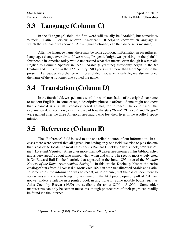## **3.3 Language (Column C)**

In the "Language" field, the first word will usually be "Arabic", but sometimes "Greek", "Latin", "Persian" or even "American". It helps to know which language in which the star name was coined. A bi-lingual dictionary can then discern its meaning.

After the language name, there may be some additional information in parentheses. Languages change over time. If we wrote, "A gentle knight was pricking on the plain"<sup>5</sup>, few people in America today would understand what that means, even though it was plain English to Edmund Spenser in 1590. Arabic (Byzantine) astronomy began in the  $8<sup>th</sup>$ Century and climaxed in the  $17<sup>th</sup>$  Century. 900 years is far more than from Spenser to the present. Languages also change with local dialect, so, when available, we also included the name of the astronomer that coined the name.

#### **3.4 Translation (Column D)**

In the fourth field, we spell out a word-for-word translation of the original star name to modern English. In some cases, a descriptive phrase is offered. Some might not know that a caracal is a small, predatory desert animal, for instance. In some cases, the explanation deserves more, as in the case of how the stars "Navi", "Dnoces" and "Regor" were named after the three American astronauts who lost their lives in the Apollo 1 space mission.

#### **3.5 Reference (Column E)**

The "Reference" field is used to cite one reliable source of our information. In all cases there were several that all agreed, but having only one field, we tried to pick the one that is easiest to locate. In most cases, this is Richard Hinckley Allen's book, *Star Names; their Lore and Meaning*. Allen cites more than 550 career astronomers in his bibliography, and is very specific about who named what, when and why. The second most widely cited is Dr. Edward Ball Knobel's article that appeared in the June, 1895 issue of the *Monthly Notices of the Royal Astronomical Society*". In this article, Knobel publishes the entire catalog of stars from Al Achsasi al Mouakket, 1650, in both transliterated Arabic and Latin. In some cases, the information was so recent, or so obscure, that the easiest document to access was a link to a web page. Stars named in the IAU public opinion poll of 2015 are not yet widely available in a printed book in any library. Some notable books, such as Atlas Coeli by Becvar (1950) are available for about \$500 - \$1,000. Some older manuscripts can only be seen in museums, though photocopies of their pages can readily be found via the Internet.

 $\overline{a}$ 

<sup>5</sup> Spenser, Edmund (1590). *The Faerie Queene.* Canto 1, verse 1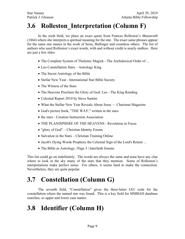#### **3.6 Rolleston\_Interpretation (Column F)**

In the sixth field, we place an exact quote from Frances Rolleston's *Mazzaroth* (1864) where she interprets a spiritual meaning for the star. The exact same phrases appear for the same star names in the work of Seiss, Bullinger and countless others. The list of authors who used Rolleston's exact words, with and without credit is nearly endless. Here are just a few titles:

- The Complete System of Thelemic Magick The Archidoxical Order of ...
- Leo Constellation Stars Astrology King
- The Secret Astrology of the Bible
- Stellar New Year International Star Bible Society
- The Witness of the Stars
- The Heavens Proclaim the Glory of God: Leo The King Rending
- Celestial Report 2010 by Steve Santini
- What the Stellar New Year Reveals About Jesus Charisma Magazine
- God's picture book, "THE WAY," written in the stars
- the stars Creation Instruction Association
- THE PLANISPHERE OF THE HEAVENS Revelation in Focus
- "glory of God". Christian Identity Forum
- Salvation in the Stars Christian Training Online
- Jacob's Dying Words Prophesy the Celestial Sign of the Lord's Return ...
- The Bible as Astrology | Page 3 | Interfaith forums

This list could go on indefinitely. The words are always the same and none have any clue where to look in the sky many of the stars that they mention. Some of Rolleston's interpretations make perfect sense. For others, it seems hard to make the connection. Nevertheless, they are quite popular.

## **3.7 Constellation (Column G)**

The seventh field, "Constellation" gives the three-letter IAU code for the constellation where the named star was found. This is a key field for SIMBAD database searches, so upper and lower case matter.

## **3.8 Identifier (Column H)**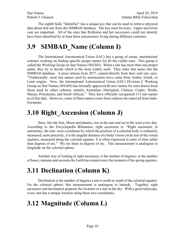The eighth field, "Identifier" has a unique key that can be used to retrieve physical data about that star from the SIMBAD database. The key must be exact. Upper and lower case are important. All of the stars that Rolleston and her successors could not identify have been identified by at least three astronomers living during different centuries.

#### **3.9 SIMBAD\_Name (Column I)**

The International Astronomical Union (IAU) has a group of astute, international scholars working on finding specific proper names for all the visible stars. This group is called the Working Group on Star Names (WGSN). When a star has more than one proper name, they try to decide which is the most widely used. They enter that name into the SIMBAD database. A press release from 2017, copied directly from their web site, says, "Traditionally, most star names used by astronomers have come from Arabic, Greek, or Latin origins. Now, the International Astronomical Union (IAU) Division C Working Group on Star Names (WGSN) has formally approved 86 new names for stars drawn from those used by other cultures, namely Australian Aboriginal, Chinese, Coptic, Hindu, Mayan, Polynesian, and South African." They have officially recognized 313 star names as of this date. However, some of these names come from cultures far removed from Indo-European.

#### **3.10 Right\_Ascension (Column J)**

Stars, like the Sun, Moon and planets, rise in the east and set in the west every day. According to the Encyclopedia Britannica, right ascension is: "Right ascension, in astronomy, the east–west coordinate by which the position of a celestial body is ordinarily measured; more precisely, it is the angular distance of a body's hour circle east of the vernal equinox, measured along the celestial equator. It is often expressed in units of time rather than degrees of arc." We list them in degrees of arc. This measurement is analogous to longitude on the celestial sphere.

Another way of looking at right ascension, is the number of degrees, or the number of hours, minutes and seconds the Earth has rotated since the moment of the spring equinox.

#### **3.11 Declination (Column K)**

Declination is the number of degrees a star is north or south of the celestial equator. On the celestial sphere, this measurement is analogous to latitude. Together, right ascension and declination pinpoint the location of a star in the sky. With a good telescope, every star has a unique location using these two coordinates.

#### **3.12 Magnitude (Column L)**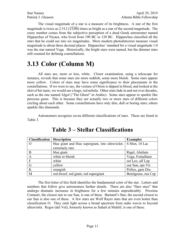The visual magnitude of a star is a measure of its brightness. A star of the first magnitude is twice as 2.512 ( $\sqrt[5]{100}$ ) times as bright as a star of the second magnitude. The crazy number comes from the subjective perception of a dead Greek astronomer named Hipparchus of Nicaea, who lived from 190 BC to 120 BC. Hipparchus classified all the stars that he could see into six magnitudes. More modern photodetectors measure visual magnitude to about three decimal places. Hipparchus' standard for a visual magnitude 1.0 was the star named Vega. Historically, the bright stars were named, but the dimmer stars still counted for defining constellations.

#### **3.13 Color (Column M)**

All stars are, more or less, white. Closer examination, using a telescope for instance, reveals that some stars are more reddish, some more bluish. Some stars appear more yellow. Colors of stars may have some significance to their placements in the constellations. If we were to say, the vesture of Orion is dipped in blood, and looked at the skirt of his tunic, we would see a huge, red nebula. Other stars fade in and out over decades, such as the one named Algol ("The Ghost" in Arabic). Some stars appear to sparkle like precious gems. This is because they are actually two or more stars of different colors circling about each other. Some constellations have only dim, dull or boring stars; others sparkle like diamonds.

Astronomers recognize seven different classifications of stars. These are listed in Table 3.

| <b>Classification</b> | <b>Description</b>                                | <b>Examples</b>    |
|-----------------------|---------------------------------------------------|--------------------|
|                       | blue giant and blue supergiant, into ultraviolet; | S Mon, 10 Lac      |
|                       | extremely rare                                    |                    |
| B                     | blue giant                                        | Rigel, Alnilam     |
| $\mathbf{A}$          | white to bluish                                   | Vega, Fomalhaut    |
| E                     | white                                             | zet Leo, alf Lep   |
| $\overline{G}$        | vellow                                            | our Sun, eps Vir   |
| K                     | orangish                                          | Pollux, gam Dra    |
| M                     | red dwarf, red giant, red supergiant              | Betelgeuse, mu Cep |

#### **Table 3 – Stellar Classifications**

The first letter of this field identifies the fundamental color of the star. Letters and numbers that follow give astronomers further details. There are also "flare stars" that undergo dramatic increases in brightness for a few minutes unpredictably. Proxima Centauri, the closest star to our Sun, is one of these. Barnard's Star, the second closest to our Sun is also one of these. A few stars are Wolf Rayet stars that are even hotter than classification O. They emit light across a broad spectrum from radio waves to beyond ultraviolet. Regor (del Vel), formerly known as Suhail al Muhlif, is one of these.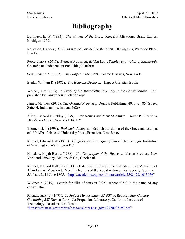## **Bibliography**

Bullinger, E. W. (1893). *The Witness of the Stars*. Kregel Publications, Grand Rapids, Michigan 49501

Rolleston, Frances (1862). *Mazzaroth, or the Constellations*. Rivingtons, Waterloo Place, London

Poole, Jane S. (2017). *Frances Rolleston; British Lady, Scholar and Writer of Mazzaroth*. CreateSpace Independent Publishing Platform

Seiss, Joseph A. (1882). *The Gospel in the Stars*. Cosmo Classics, New York

Banks, William D. (1985). *The Heavens Declare…* Impact Christian Books

Warner, Tim (2013). *Mystery of the Mazzaroth; Prophecy in the Constellations*. Selfpublished by "answers inrevelation.org"

James, Matthew (2010). *The Original Prophecy*. Dog Ear Publishing, 4010 W., 86<sup>th</sup> Street. Suite H, Indianapolis, Indiana 46268

Allen, Richard Hinckley (1899). *Star Names and their Meanings*. Dover Publications, 180 Varick Street, New York 14, NY

Toomer, G. J. (1998). *Ptolemy's Almagest*. (English translation of the Greek manuscripts of 150 AD). Princeton University Press, Princeton, New Jersey

Knobel, Edward Ball (1917). *Ulugh Beg's Catalogue of Stars*. The Carnegie Institution of Washington, Washington DC

Hinsdale, Elijah Burritt (1838). *The Geography of the Heavens*. Mason Brothers, New York and Hinckley, Mallory & Co., Cincinnati

Knobel, Edward Ball (1895). On a Catalogue of Stars in the Calendarium of Mohammad Al Achasi Al Mouakket. Monthly Notices of the Royal Astronomical Society, Volume 55, Issue 8, 14 June 1895. "https://academic.oup.com/mnras/article/55/8/429/1013679"

Wikipedia (2019). Search for "list of stars in ????", where "???? Is the name of any constellation.

Rhoads, Jack W. (1971). *Technical Memorandum 33-507: A Reduced Star Catalog Containing 537 Named Stars*. Jet Propulsion Laboratory, California Institute of Technology, Pasadena, California.

"https://ntrs.nasa.gov/archive/nasa/casi.ntrs.nasa.gov/19720005197.pdf"